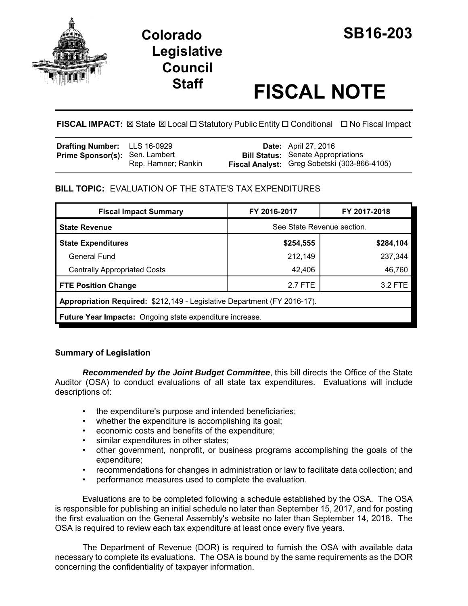



# **Staff FISCAL NOTE**

**FISCAL IMPACT:** ⊠ State ⊠ Local □ Statutory Public Entity □ Conditional □ No Fiscal Impact

| Drafting Number: LLS 16-0929          |                     | <b>Date:</b> April 27, 2016                                                               |
|---------------------------------------|---------------------|-------------------------------------------------------------------------------------------|
| <b>Prime Sponsor(s): Sen. Lambert</b> | Rep. Hamner; Rankin | <b>Bill Status:</b> Senate Appropriations<br>Fiscal Analyst: Greg Sobetski (303-866-4105) |

# **BILL TOPIC:** EVALUATION OF THE STATE'S TAX EXPENDITURES

| <b>Fiscal Impact Summary</b>                                             | FY 2016-2017               | FY 2017-2018 |  |  |  |
|--------------------------------------------------------------------------|----------------------------|--------------|--|--|--|
| <b>State Revenue</b>                                                     | See State Revenue section. |              |  |  |  |
| <b>State Expenditures</b>                                                | \$254,555                  | \$284,104    |  |  |  |
| General Fund                                                             | 212,149                    | 237,344      |  |  |  |
| <b>Centrally Appropriated Costs</b>                                      | 42,406                     | 46,760       |  |  |  |
| <b>FTE Position Change</b>                                               | 2.7 FTE                    | 3.2 FTE      |  |  |  |
| Appropriation Required: \$212,149 - Legislative Department (FY 2016-17). |                            |              |  |  |  |
| <b>Future Year Impacts:</b> Ongoing state expenditure increase.          |                            |              |  |  |  |

# **Summary of Legislation**

*Recommended by the Joint Budget Committee*, this bill directs the Office of the State Auditor (OSA) to conduct evaluations of all state tax expenditures. Evaluations will include descriptions of:

- the expenditure's purpose and intended beneficiaries;
- whether the expenditure is accomplishing its goal;
- economic costs and benefits of the expenditure;
- similar expenditures in other states;
- other government, nonprofit, or business programs accomplishing the goals of the expenditure;
- recommendations for changes in administration or law to facilitate data collection; and
- performance measures used to complete the evaluation.

Evaluations are to be completed following a schedule established by the OSA. The OSA is responsible for publishing an initial schedule no later than September 15, 2017, and for posting the first evaluation on the General Assembly's website no later than September 14, 2018. The OSA is required to review each tax expenditure at least once every five years.

The Department of Revenue (DOR) is required to furnish the OSA with available data necessary to complete its evaluations. The OSA is bound by the same requirements as the DOR concerning the confidentiality of taxpayer information.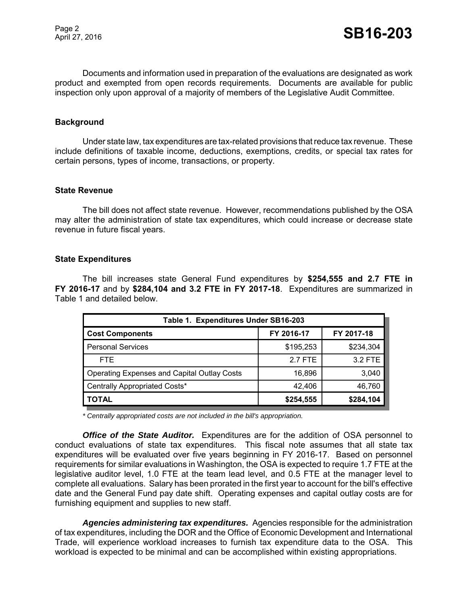Documents and information used in preparation of the evaluations are designated as work product and exempted from open records requirements. Documents are available for public inspection only upon approval of a majority of members of the Legislative Audit Committee.

## **Background**

Under state law, tax expenditures are tax-related provisions that reduce tax revenue. These include definitions of taxable income, deductions, exemptions, credits, or special tax rates for certain persons, types of income, transactions, or property.

#### **State Revenue**

The bill does not affect state revenue. However, recommendations published by the OSA may alter the administration of state tax expenditures, which could increase or decrease state revenue in future fiscal years.

#### **State Expenditures**

The bill increases state General Fund expenditures by **\$254,555 and 2.7 FTE in FY 2016-17** and by **\$284,104 and 3.2 FTE in FY 2017-18**. Expenditures are summarized in Table 1 and detailed below.

| Table 1. Expenditures Under SB16-203               |            |            |  |  |  |  |
|----------------------------------------------------|------------|------------|--|--|--|--|
| <b>Cost Components</b>                             | FY 2016-17 | FY 2017-18 |  |  |  |  |
| <b>Personal Services</b>                           | \$195,253  | \$234,304  |  |  |  |  |
| <b>FTE</b>                                         | 2.7 FTE    | 3.2 FTE    |  |  |  |  |
| <b>Operating Expenses and Capital Outlay Costs</b> | 16,896     | 3,040      |  |  |  |  |
| Centrally Appropriated Costs*                      | 42,406     | 46,760     |  |  |  |  |
| <b>TOTAL</b>                                       | \$254,555  | \$284,104  |  |  |  |  |

*\* Centrally appropriated costs are not included in the bill's appropriation.*

*Office of the State Auditor.* Expenditures are for the addition of OSA personnel to conduct evaluations of state tax expenditures. This fiscal note assumes that all state tax expenditures will be evaluated over five years beginning in FY 2016-17. Based on personnel requirements for similar evaluations in Washington, the OSA is expected to require 1.7 FTE at the legislative auditor level, 1.0 FTE at the team lead level, and 0.5 FTE at the manager level to complete all evaluations. Salary has been prorated in the first year to account for the bill's effective date and the General Fund pay date shift. Operating expenses and capital outlay costs are for furnishing equipment and supplies to new staff.

*Agencies administering tax expenditures.* Agencies responsible for the administration of tax expenditures, including the DOR and the Office of Economic Development and International Trade, will experience workload increases to furnish tax expenditure data to the OSA. This workload is expected to be minimal and can be accomplished within existing appropriations.